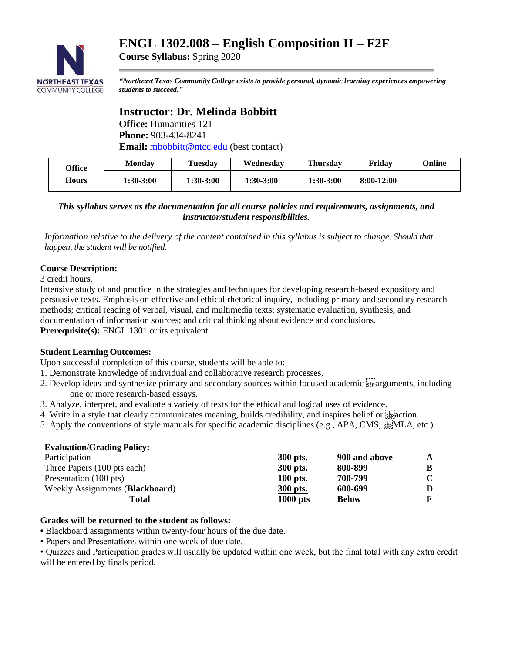# **ENGL 1302.008 – English Composition II – F2F**



**Course Syllabus:** Spring 2020

*"Northeast Texas Community College exists to provide personal, dynamic learning experiences empowering students to succeed."*

## **Instructor: Dr. Melinda Bobbitt**

**Office:** Humanities 121 **Phone:** 903-434-8241 **Email:** [mbobbitt@ntcc.edu](mailto:mbobbitt@ntcc.edu) (best contact)

| <b>Office</b><br>Hours | Mondav    | <b>Tuesday</b> | Wednesdav | <b>Thursday</b> | Friday       | Online |
|------------------------|-----------|----------------|-----------|-----------------|--------------|--------|
|                        | 1:30-3:00 | 1:30-3:00      | 1:30-3:00 | $1:30-3:00$     | $8:00-12:00$ |        |

#### *This syllabus serves as the documentation for all course policies and requirements, assignments, and instructor/student responsibilities.*

*Information relative to the delivery of the content contained in this syllabus is subject to change. Should that happen, the student will be notified.*

## **Course Description:**

3 credit hours.

Intensive study of and practice in the strategies and techniques for developing research-based expository and persuasive texts. Emphasis on effective and ethical rhetorical inquiry, including primary and secondary research methods; critical reading of verbal, visual, and multimedia texts; systematic evaluation, synthesis, and documentation of information sources; and critical thinking about evidence and conclusions. **Prerequisite(s):** ENGL 1301 or its equivalent.

## **Student Learning Outcomes:**

Upon successful completion of this course, students will be able to:

- 1. Demonstrate knowledge of individual and collaborative research processes.
- 2. Develop ideas and synthesize primary and secondary sources within focused academic separatures, including one or more research-based essays.
- 3. Analyze, interpret, and evaluate a variety of texts for the ethical and logical uses of evidence.
- 4. Write in a style that clearly communicates meaning, builds credibility, and inspires belief or  $\frac{1}{3}$  action.
- 5. Apply the conventions of style manuals for specific academic disciplines (e.g., APA, CMS,  $_{\rm S}^{\rm L1}$ ;MLA, etc.)

| <b>Evaluation/Grading Policy:</b> |            |               |   |
|-----------------------------------|------------|---------------|---|
| Participation                     | 300 pts.   | 900 and above | A |
| Three Papers (100 pts each)       | 300 pts.   | 800-899       | B |
| Presentation (100 pts)            | 100 pts.   | 700-799       |   |
| Weekly Assignments (Blackboard)   | 300 pts.   | 600-699       |   |
| Total                             | $1000$ pts | <b>Below</b>  |   |

#### **Grades will be returned to the student as follows:**

**•** Blackboard assignments within twenty-four hours of the due date.

• Papers and Presentations within one week of due date.

• Quizzes and Participation grades will usually be updated within one week, but the final total with any extra credit will be entered by finals period.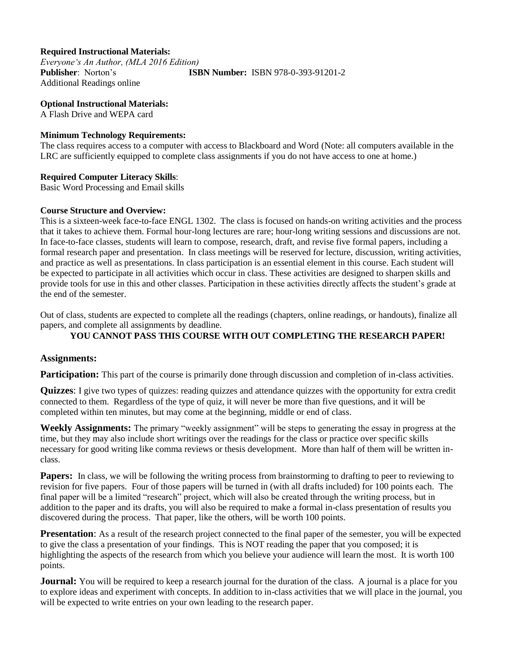### **Required Instructional Materials:**

*Everyone's An Author, (MLA 2016 Edition)* **Publisher**: Norton's **ISBN Number:** ISBN 978-0-393-91201-2 Additional Readings online

**Optional Instructional Materials:** A Flash Drive and WEPA card

#### **Minimum Technology Requirements:**

The class requires access to a computer with access to Blackboard and Word (Note: all computers available in the LRC are sufficiently equipped to complete class assignments if you do not have access to one at home.)

#### **Required Computer Literacy Skills**:

Basic Word Processing and Email skills

#### **Course Structure and Overview:**

This is a sixteen-week face-to-face ENGL 1302. The class is focused on hands-on writing activities and the process that it takes to achieve them. Formal hour-long lectures are rare; hour-long writing sessions and discussions are not. In face-to-face classes, students will learn to compose, research, draft, and revise five formal papers, including a formal research paper and presentation. In class meetings will be reserved for lecture, discussion, writing activities, and practice as well as presentations. In class participation is an essential element in this course. Each student will be expected to participate in all activities which occur in class. These activities are designed to sharpen skills and provide tools for use in this and other classes. Participation in these activities directly affects the student's grade at the end of the semester.

Out of class, students are expected to complete all the readings (chapters, online readings, or handouts), finalize all papers, and complete all assignments by deadline.

#### **YOU CANNOT PASS THIS COURSE WITH OUT COMPLETING THE RESEARCH PAPER!**

#### **Assignments:**

**Participation:** This part of the course is primarily done through discussion and completion of in-class activities.

**Quizzes**: I give two types of quizzes: reading quizzes and attendance quizzes with the opportunity for extra credit connected to them. Regardless of the type of quiz, it will never be more than five questions, and it will be completed within ten minutes, but may come at the beginning, middle or end of class.

**Weekly Assignments:** The primary "weekly assignment" will be steps to generating the essay in progress at the time, but they may also include short writings over the readings for the class or practice over specific skills necessary for good writing like comma reviews or thesis development. More than half of them will be written inclass.

**Papers:** In class, we will be following the writing process from brainstorming to drafting to peer to reviewing to revision for five papers. Four of those papers will be turned in (with all drafts included) for 100 points each. The final paper will be a limited "research" project, which will also be created through the writing process, but in addition to the paper and its drafts, you will also be required to make a formal in-class presentation of results you discovered during the process. That paper, like the others, will be worth 100 points.

**Presentation**: As a result of the research project connected to the final paper of the semester, you will be expected to give the class a presentation of your findings. This is NOT reading the paper that you composed; it is highlighting the aspects of the research from which you believe your audience will learn the most. It is worth 100 points.

**Journal:** You will be required to keep a research journal for the duration of the class. A journal is a place for you to explore ideas and experiment with concepts. In addition to in-class activities that we will place in the journal, you will be expected to write entries on your own leading to the research paper.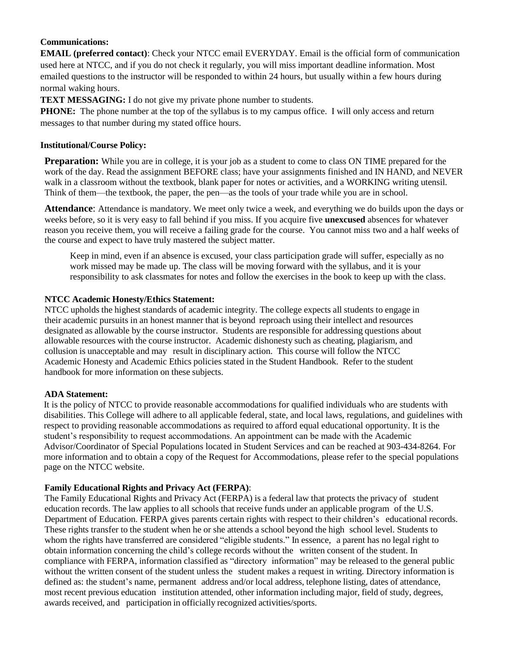## **Communications:**

**EMAIL (preferred contact)**: Check your NTCC email EVERYDAY. Email is the official form of communication used here at NTCC, and if you do not check it regularly, you will miss important deadline information. Most emailed questions to the instructor will be responded to within 24 hours, but usually within a few hours during normal waking hours.

**TEXT MESSAGING:** I do not give my private phone number to students.

**PHONE:** The phone number at the top of the syllabus is to my campus office. I will only access and return messages to that number during my stated office hours.

## **Institutional/Course Policy:**

**Preparation:** While you are in college, it is your job as a student to come to class ON TIME prepared for the work of the day. Read the assignment BEFORE class; have your assignments finished and IN HAND, and NEVER walk in a classroom without the textbook, blank paper for notes or activities, and a WORKING writing utensil. Think of them—the textbook, the paper, the pen—as the tools of your trade while you are in school.

**Attendance**: Attendance is mandatory. We meet only twice a week, and everything we do builds upon the days or weeks before, so it is very easy to fall behind if you miss. If you acquire five **unexcused** absences for whatever reason you receive them, you will receive a failing grade for the course. You cannot miss two and a half weeks of the course and expect to have truly mastered the subject matter.

Keep in mind, even if an absence is excused, your class participation grade will suffer, especially as no work missed may be made up. The class will be moving forward with the syllabus, and it is your responsibility to ask classmates for notes and follow the exercises in the book to keep up with the class.

## **NTCC Academic Honesty/Ethics Statement:**

NTCC upholds the highest standards of academic integrity. The college expects all students to engage in their academic pursuits in an honest manner that is beyond reproach using their intellect and resources designated as allowable by the course instructor. Students are responsible for addressing questions about allowable resources with the course instructor. Academic dishonesty such as cheating, plagiarism, and collusion is unacceptable and may result in disciplinary action. This course will follow the NTCC Academic Honesty and Academic Ethics policies stated in the Student Handbook. Refer to the student handbook for more information on these subjects.

#### **ADA Statement:**

It is the policy of NTCC to provide reasonable accommodations for qualified individuals who are students with disabilities. This College will adhere to all applicable federal, state, and local laws, regulations, and guidelines with respect to providing reasonable accommodations as required to afford equal educational opportunity. It is the student's responsibility to request accommodations. An appointment can be made with the Academic Advisor/Coordinator of Special Populations located in Student Services and can be reached at 903-434-8264. For more information and to obtain a copy of the Request for Accommodations, please refer to the special populations page on the NTCC websit[e.](http://www.ntcc.edu/index.php?module=Pagesetter&func=viewpub&tid=111&pid=1) 

## **Family Educational Rights and Privacy Act (FERPA)**:

The Family Educational Rights and Privacy Act (FERPA) is a federal law that protects the privacy of student education records. The law applies to all schools that receive funds under an applicable program of the U.S. Department of Education. FERPA gives parents certain rights with respect to their children's educational records. These rights transfer to the student when he or she attends a school beyond the high school level. Students to whom the rights have transferred are considered "eligible students." In essence, a parent has no legal right to obtain information concerning the child's college records without the written consent of the student. In compliance with FERPA, information classified as "directory information" may be released to the general public without the written consent of the student unless the student makes a request in writing. Directory information is defined as: the student's name, permanent address and/or local address, telephone listing, dates of attendance, most recent previous education institution attended, other information including major, field of study, degrees, awards received, and participation in officially recognized activities/sports.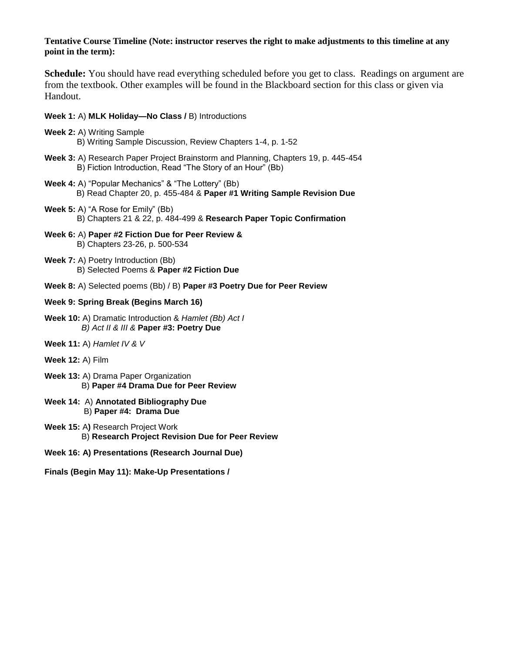#### **Tentative Course Timeline (Note: instructor reserves the right to make adjustments to this timeline at any point in the term):**

**Schedule:** You should have read everything scheduled before you get to class. Readings on argument are from the textbook. Other examples will be found in the Blackboard section for this class or given via Handout.

#### **Week 1:** A) **MLK Holiday—No Class /** B) Introductions

- **Week 2:** A) Writing Sample B) Writing Sample Discussion, Review Chapters 1-4, p. 1-52
- **Week 3:** A) Research Paper Project Brainstorm and Planning, Chapters 19, p. 445-454 B) Fiction Introduction, Read "The Story of an Hour" (Bb)
- **Week 4:** A) "Popular Mechanics" & "The Lottery" (Bb) B) Read Chapter 20, p. 455-484 & **Paper #1 Writing Sample Revision Due**
- **Week 5:** A) "A Rose for Emily" (Bb) B) Chapters 21 & 22, p. 484-499 & **Research Paper Topic Confirmation**
- **Week 6:** A) **Paper #2 Fiction Due for Peer Review &** B) Chapters 23-26, p. 500-534
- **Week 7:** A) Poetry Introduction (Bb) B) Selected Poems & **Paper #2 Fiction Due**
- **Week 8:** A) Selected poems (Bb) / B) **Paper #3 Poetry Due for Peer Review**

#### **Week 9: Spring Break (Begins March 16)**

- **Week 10:** A) Dramatic Introduction & *Hamlet (Bb) Act I B) Act II & III &* **Paper #3: Poetry Due**
- **Week 11:** A) *Hamlet IV & V*
- **Week 12:** A) Film
- **Week 13:** A) Drama Paper Organization B) **Paper #4 Drama Due for Peer Review**
- **Week 14:** A) **Annotated Bibliography Due** B) **Paper #4: Drama Due**
- **Week 15:** A**)** Research Project Work B) **Research Project Revision Due for Peer Review**
- **Week 16: A) Presentations (Research Journal Due)**
- **Finals (Begin May 11): Make-Up Presentations /**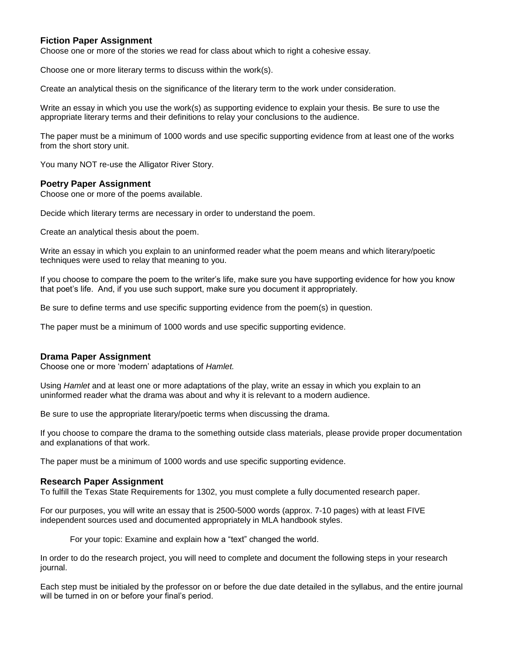#### **Fiction Paper Assignment**

Choose one or more of the stories we read for class about which to right a cohesive essay.

Choose one or more literary terms to discuss within the work(s).

Create an analytical thesis on the significance of the literary term to the work under consideration.

Write an essay in which you use the work(s) as supporting evidence to explain your thesis. Be sure to use the appropriate literary terms and their definitions to relay your conclusions to the audience.

The paper must be a minimum of 1000 words and use specific supporting evidence from at least one of the works from the short story unit.

You many NOT re-use the Alligator River Story.

#### **Poetry Paper Assignment**

Choose one or more of the poems available.

Decide which literary terms are necessary in order to understand the poem.

Create an analytical thesis about the poem.

Write an essay in which you explain to an uninformed reader what the poem means and which literary/poetic techniques were used to relay that meaning to you.

If you choose to compare the poem to the writer's life, make sure you have supporting evidence for how you know that poet's life. And, if you use such support, make sure you document it appropriately.

Be sure to define terms and use specific supporting evidence from the poem(s) in question.

The paper must be a minimum of 1000 words and use specific supporting evidence.

#### **Drama Paper Assignment**

Choose one or more 'modern' adaptations of *Hamlet.*

Using *Hamlet* and at least one or more adaptations of the play, write an essay in which you explain to an uninformed reader what the drama was about and why it is relevant to a modern audience.

Be sure to use the appropriate literary/poetic terms when discussing the drama.

If you choose to compare the drama to the something outside class materials, please provide proper documentation and explanations of that work.

The paper must be a minimum of 1000 words and use specific supporting evidence.

#### **Research Paper Assignment**

To fulfill the Texas State Requirements for 1302, you must complete a fully documented research paper.

For our purposes, you will write an essay that is 2500-5000 words (approx. 7-10 pages) with at least FIVE independent sources used and documented appropriately in MLA handbook styles.

For your topic: Examine and explain how a "text" changed the world.

In order to do the research project, you will need to complete and document the following steps in your research journal.

Each step must be initialed by the professor on or before the due date detailed in the syllabus, and the entire journal will be turned in on or before your final's period.